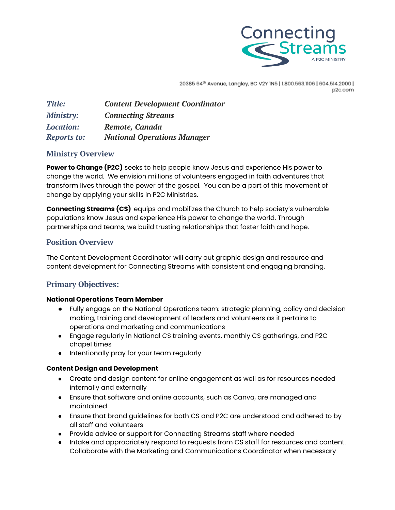

20385 64th Avenue, Langley, BC V2Y 1N5 | 1.800.563.1106 | 604.514.2000 | p2c.com

| <b>Title:</b>      | <b>Content Development Coordinator</b> |
|--------------------|----------------------------------------|
| <b>Ministry:</b>   | <b>Connecting Streams</b>              |
| <b>Location:</b>   | Remote, Canada                         |
| <b>Reports to:</b> | <b>National Operations Manager</b>     |

### **Ministry Overview**

**Power to Change (P2C)** seeks to help people know Jesus and experience His power to change the world. We envision millions of volunteers engaged in faith adventures that transform lives through the power of the gospel. You can be a part of this movement of change by applying your skills in P2C Ministries.

**Connecting Streams (CS)** equips and mobilizes the Church to help society's vulnerable populations know Jesus and experience His power to change the world. Through partnerships and teams, we build trusting relationships that foster faith and hope.

## **Position Overview**

The Content Development Coordinator will carry out graphic design and resource and content development for Connecting Streams with consistent and engaging branding.

# **Primary Objectives:**

### **National Operations Team Member**

- Fully engage on the National Operations team: strategic planning, policy and decision making, training and development of leaders and volunteers as it pertains to operations and marketing and communications
- Engage regularly in National CS training events, monthly CS gatherings, and P2C chapel times
- Intentionally pray for your team regularly

### **Content Design and Development**

- Create and design content for online engagement as well as for resources needed internally and externally
- Ensure that software and online accounts, such as Canva, are managed and maintained
- Ensure that brand guidelines for both CS and P2C are understood and adhered to by all staff and volunteers
- Provide advice or support for Connecting Streams staff where needed
- Intake and appropriately respond to requests from CS staff for resources and content. Collaborate with the Marketing and Communications Coordinator when necessary